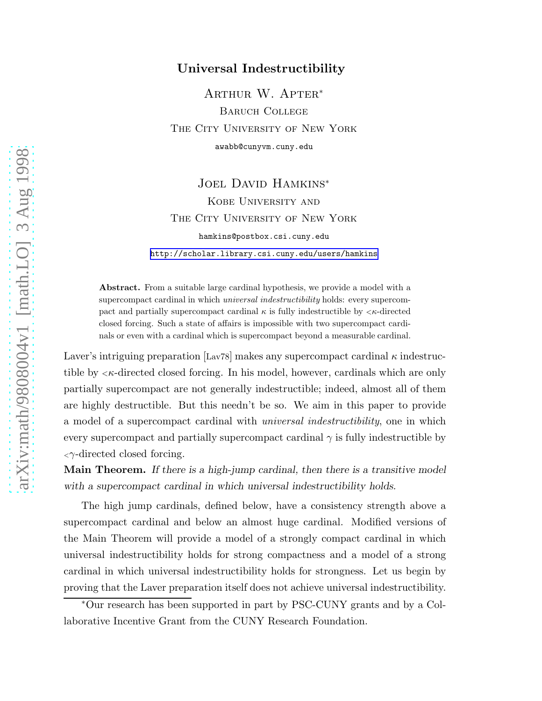## Universal Indestructibility

Arthur W. Apter<sup>∗</sup> Baruch College THE CITY UNIVERSITY OF NEW YORK awabb@cunyvm.cuny.edu

Joel David Hamkins<sup>∗</sup> Kobe University and THE CITY UNIVERSITY OF NEW YORK hamkins@postbox.csi.cuny.edu <http://scholar.library.csi.cuny.edu/users/hamkins>

Abstract. From a suitable large cardinal hypothesis, we provide a model with a supercompact cardinal in which *universal indestructibility* holds: every supercompact and partially supercompact cardinal  $\kappa$  is fully indestructible by  $\lt \kappa$ -directed closed forcing. Such a state of affairs is impossible with two supercompact cardinals or even with a cardinal which is supercompact beyond a measurable cardinal.

Laver's intriguing preparation [Lav78] makes any supercompact cardinal  $\kappa$  indestructible by  $\langle \kappa$ -directed closed forcing. In his model, however, cardinals which are only partially supercompact are not generally indestructible; indeed, almost all of them are highly destructible. But this needn't be so. We aim in this paper to provide a model of a supercompact cardinal with universal indestructibility, one in which every supercompact and partially supercompact cardinal  $\gamma$  is fully indestructible by  $\langle \gamma \rangle$ -directed closed forcing.

**Main Theorem.** If there is a high-jump cardinal, then there is a transitive model with a supercompact cardinal in which universal indestructibility holds.

The high jump cardinals, defined below, have a consistency strength above a supercompact cardinal and below an almost huge cardinal. Modified versions of the Main Theorem will provide a model of a strongly compact cardinal in which universal indestructibility holds for strong compactness and a model of a strong cardinal in which universal indestructibility holds for strongness. Let us begin by proving that the Laver preparation itself does not achieve universal indestructibility.

<sup>∗</sup>Our research has been supported in part by PSC-CUNY grants and by a Collaborative Incentive Grant from the CUNY Research Foundation.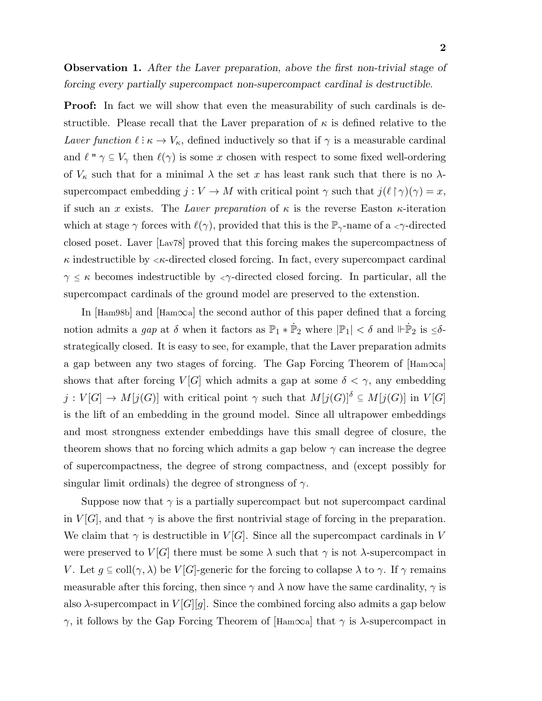Observation 1. After the Laver preparation, above the first non-trivial stage of forcing every partially supercompact non-supercompact cardinal is destructible.

**Proof:** In fact we will show that even the measurability of such cardinals is destructible. Please recall that the Laver preparation of  $\kappa$  is defined relative to the Laver function  $\ell : \kappa \to V_\kappa$ , defined inductively so that if  $\gamma$  is a measurable cardinal and  $\ell$  "  $\gamma \subseteq V_{\gamma}$  then  $\ell(\gamma)$  is some x chosen with respect to some fixed well-ordering of  $V_{\kappa}$  such that for a minimal  $\lambda$  the set x has least rank such that there is no  $\lambda$ supercompact embedding  $j: V \to M$  with critical point  $\gamma$  such that  $j(\ell \upharpoonright \gamma)(\gamma) = x$ , if such an x exists. The Laver preparation of  $\kappa$  is the reverse Easton  $\kappa$ -iteration which at stage  $\gamma$  forces with  $\ell(\gamma)$ , provided that this is the  $\mathbb{P}_{\gamma}$ -name of a  $\langle \gamma$ -directed closed poset. Laver [Lav78] proved that this forcing makes the supercompactness of  $\kappa$  indestructible by  $\langle \kappa$ -directed closed forcing. In fact, every supercompact cardinal  $\gamma \leq \kappa$  becomes indestructible by  $\langle \gamma \rangle$ -directed closed forcing. In particular, all the supercompact cardinals of the ground model are preserved to the extenstion.

In [Ham98b] and [Ham∞a] the second author of this paper defined that a forcing notion admits a gap at  $\delta$  when it factors as  $\mathbb{P}_1 * \dot{\mathbb{P}}_2$  where  $|\mathbb{P}_1| < \delta$  and  $\Vdash \dot{\mathbb{P}}_2$  is  $\leq \delta$ strategically closed. It is easy to see, for example, that the Laver preparation admits a gap between any two stages of forcing. The Gap Forcing Theorem of  $\text{[Ham}\infty$ a shows that after forcing  $V[G]$  which admits a gap at some  $\delta < \gamma$ , any embedding  $j: V[G] \to M[j(G)]$  with critical point  $\gamma$  such that  $M[j(G)]^{\delta} \subseteq M[j(G)]$  in  $V[G]$ is the lift of an embedding in the ground model. Since all ultrapower embeddings and most strongness extender embeddings have this small degree of closure, the theorem shows that no forcing which admits a gap below  $\gamma$  can increase the degree of supercompactness, the degree of strong compactness, and (except possibly for singular limit ordinals) the degree of strongness of  $\gamma$ .

Suppose now that  $\gamma$  is a partially supercompact but not supercompact cardinal in  $V[G]$ , and that  $\gamma$  is above the first nontrivial stage of forcing in the preparation. We claim that  $\gamma$  is destructible in  $V[G]$ . Since all the supercompact cardinals in V were preserved to  $V[G]$  there must be some  $\lambda$  such that  $\gamma$  is not  $\lambda$ -supercompact in V. Let  $g \subseteq \text{coll}(\gamma, \lambda)$  be  $V[G]$ -generic for the forcing to collapse  $\lambda$  to  $\gamma$ . If  $\gamma$  remains measurable after this forcing, then since  $\gamma$  and  $\lambda$  now have the same cardinality,  $\gamma$  is also  $\lambda$ -supercompact in  $V[G][q]$ . Since the combined forcing also admits a gap below  $γ$ , it follows by the Gap Forcing Theorem of [Ham∞a] that  $γ$  is  $λ$ -supercompact in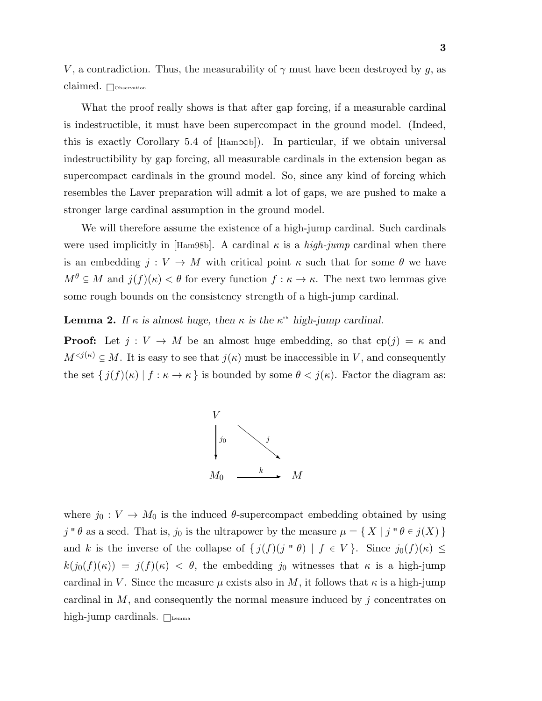V, a contradiction. Thus, the measurability of  $\gamma$  must have been destroyed by g, as claimed. Observation

What the proof really shows is that after gap forcing, if a measurable cardinal is indestructible, it must have been supercompact in the ground model. (Indeed, this is exactly Corollary 5.4 of  $[\text{Ham}\infty b]$ . In particular, if we obtain universal indestructibility by gap forcing, all measurable cardinals in the extension began as supercompact cardinals in the ground model. So, since any kind of forcing which resembles the Laver preparation will admit a lot of gaps, we are pushed to make a stronger large cardinal assumption in the ground model.

We will therefore assume the existence of a high-jump cardinal. Such cardinals were used implicitly in [Ham98b]. A cardinal  $\kappa$  is a *high-jump* cardinal when there is an embedding  $j: V \to M$  with critical point  $\kappa$  such that for some  $\theta$  we have  $M^{\theta} \subseteq M$  and  $j(f)(\kappa) < \theta$  for every function  $f : \kappa \to \kappa$ . The next two lemmas give some rough bounds on the consistency strength of a high-jump cardinal.

**Lemma 2.** If  $\kappa$  is almost huge, then  $\kappa$  is the  $\kappa$ <sup>th</sup> high-jump cardinal.

**Proof:** Let  $j: V \to M$  be an almost huge embedding, so that  $cp(j) = \kappa$  and  $M^{. It is easy to see that  $j(\kappa)$  must be inaccessible in V, and consequently$ the set  $\{j(f)(\kappa) \mid f : \kappa \to \kappa\}$  is bounded by some  $\theta < j(\kappa)$ . Factor the diagram as:



where  $j_0 : V \to M_0$  is the induced  $\theta$ -supercompact embedding obtained by using  $j \circ \theta$  as a seed. That is,  $j_0$  is the ultrapower by the measure  $\mu = \{ X | j \circ \theta \in j(X) \}$ and k is the inverse of the collapse of  $\{j(f)(j' \circ \theta) \mid f \in V\}$ . Since  $j_0(f)(\kappa) \leq$  $k(j_0(f)(\kappa)) = j(f)(\kappa) < \theta$ , the embedding j<sub>0</sub> witnesses that  $\kappa$  is a high-jump cardinal in V. Since the measure  $\mu$  exists also in M, it follows that  $\kappa$  is a high-jump cardinal in  $M$ , and consequently the normal measure induced by j concentrates on high-jump cardinals.  $\Box$ <sub>Lemma</sub>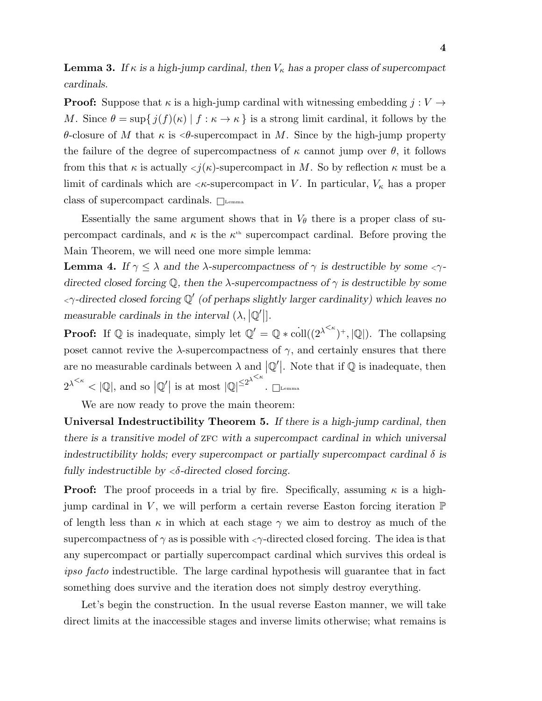**Lemma 3.** If  $\kappa$  is a high-jump cardinal, then  $V_{\kappa}$  has a proper class of supercompact cardinals.

**Proof:** Suppose that  $\kappa$  is a high-jump cardinal with witnessing embedding  $j: V \to$ M. Since  $\theta = \sup\{j(f)(\kappa) \mid f : \kappa \to \kappa\}$  is a strong limit cardinal, it follows by the θ-closure of M that κ is <θ-supercompact in M. Since by the high-jump property the failure of the degree of supercompactness of  $\kappa$  cannot jump over  $\theta$ , it follows from this that  $\kappa$  is actually  $\langle j(\kappa)$ -supercompact in M. So by reflection  $\kappa$  must be a limit of cardinals which are  $\langle \kappa$ -supercompact in V. In particular,  $V_{\kappa}$  has a proper class of supercompact cardinals.  $\Box$ 

Essentially the same argument shows that in  $V_{\theta}$  there is a proper class of supercompact cardinals, and  $\kappa$  is the  $\kappa^{\text{th}}$  supercompact cardinal. Before proving the Main Theorem, we will need one more simple lemma:

**Lemma 4.** If  $\gamma \leq \lambda$  and the  $\lambda$ -supercompactness of  $\gamma$  is destructible by some  $\langle \gamma \rangle$ directed closed forcing  $\mathbb Q$ , then the  $\lambda$ -supercompactness of  $\gamma$  is destructible by some  $\langle \gamma$ -directed closed forcing  $\mathbb{Q}'$  (of perhaps slightly larger cardinality) which leaves no measurable cardinals in the interval  $(\lambda, |\mathbb{Q}|)$ .

**Proof:** If  $\mathbb Q$  is inadequate, simply let  $\mathbb Q' = \mathbb Q \ast \text{coll}((2^{\lambda^{<\kappa}})^+, |\mathbb Q|)$ . The collapsing poset cannot revive the  $\lambda$ -supercompactness of  $\gamma$ , and certainly ensures that there are no measurable cardinals between  $\lambda$  and  $|\mathbb{Q}'|$ . Note that if  $\mathbb{Q}$  is inadequate, then  $2^{\lambda^{\leq \kappa}} < |\mathbb{Q}|$ , and so  $|\mathbb{Q}'|$  is at most  $|\mathbb{Q}|^{\leq 2^{\lambda^{\leq \kappa}}}$  $\blacksquare$ Lemma

We are now ready to prove the main theorem:

Universal Indestructibility Theorem 5. If there is a high-jump cardinal, then there is a transitive model of  $ZFC$  with a supercompact cardinal in which universal indestructibility holds; every supercompact or partially supercompact cardinal  $\delta$  is fully indestructible by  $\langle \delta \text{-directed closed forcing.} \rangle$ 

**Proof:** The proof proceeds in a trial by fire. Specifically, assuming  $\kappa$  is a highjump cardinal in V, we will perform a certain reverse Easton forcing iteration  $\mathbb P$ of length less than  $\kappa$  in which at each stage  $\gamma$  we aim to destroy as much of the supercompactness of  $\gamma$  as is possible with  $\langle \gamma \rangle$ -directed closed forcing. The idea is that any supercompact or partially supercompact cardinal which survives this ordeal is ipso facto indestructible. The large cardinal hypothesis will guarantee that in fact something does survive and the iteration does not simply destroy everything.

Let's begin the construction. In the usual reverse Easton manner, we will take direct limits at the inaccessible stages and inverse limits otherwise; what remains is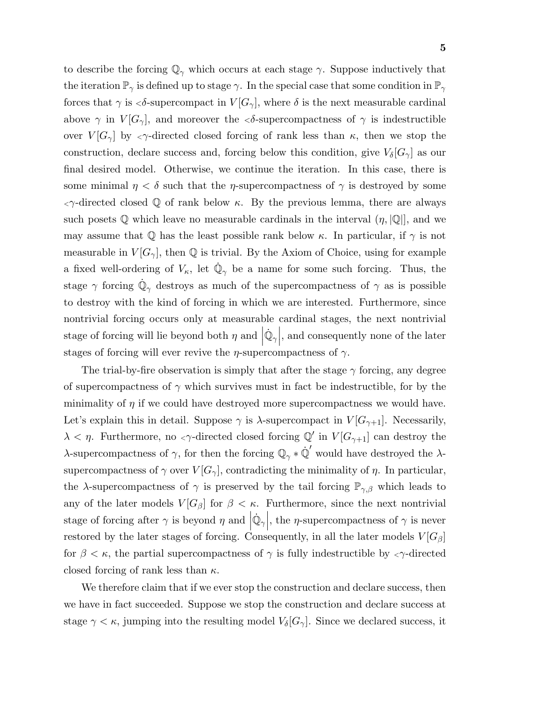to describe the forcing  $\mathbb{Q}_{\gamma}$  which occurs at each stage  $\gamma$ . Suppose inductively that the iteration  $\mathbb{P}_{\gamma}$  is defined up to stage  $\gamma$ . In the special case that some condition in  $\mathbb{P}_{\gamma}$ forces that  $\gamma$  is  $\langle \delta$ -supercompact in  $V[G_{\gamma}],$  where  $\delta$  is the next measurable cardinal above  $\gamma$  in  $V[G_{\gamma}]$ , and moreover the  $\langle \delta$ -supercompactness of  $\gamma$  is indestructible over  $V[G_{\gamma}]$  by  $\langle \gamma$ -directed closed forcing of rank less than  $\kappa$ , then we stop the construction, declare success and, forcing below this condition, give  $V_{\delta}[G_{\gamma}]$  as our final desired model. Otherwise, we continue the iteration. In this case, there is some minimal  $\eta < \delta$  such that the *η*-supercompactness of  $\gamma$  is destroyed by some  $\langle \gamma \rangle$ -directed closed Q of rank below κ. By the previous lemma, there are always such posets  $\mathbb Q$  which leave no measurable cardinals in the interval  $(\eta, |\mathbb Q|)$ , and we may assume that Q has the least possible rank below  $\kappa$ . In particular, if  $\gamma$  is not measurable in  $V[G_{\gamma}]$ , then Q is trivial. By the Axiom of Choice, using for example a fixed well-ordering of  $V_{\kappa}$ , let  $\dot{\mathbb{Q}}_{\gamma}$  be a name for some such forcing. Thus, the stage  $\gamma$  forcing  $\dot{\mathbb{Q}}_{\gamma}$  destroys as much of the supercompactness of  $\gamma$  as is possible to destroy with the kind of forcing in which we are interested. Furthermore, since nontrivial forcing occurs only at measurable cardinal stages, the next nontrivial stage of forcing will lie beyond both  $\eta$  and  $|\dot{\mathbb{Q}}_{\gamma}|$ , and consequently none of the later stages of forcing will ever revive the  $\eta$ -supercompactness of  $\gamma$ .

The trial-by-fire observation is simply that after the stage  $\gamma$  forcing, any degree of supercompactness of  $\gamma$  which survives must in fact be indestructible, for by the minimality of  $\eta$  if we could have destroyed more supercompactness we would have. Let's explain this in detail. Suppose  $\gamma$  is  $\lambda$ -supercompact in  $V[G_{\gamma+1}]$ . Necessarily,  $\lambda < \eta$ . Furthermore, no  $\langle \gamma \rangle$ -directed closed forcing  $\mathbb{Q}'$  in  $V[G_{\gamma+1}]$  can destroy the λ-supercompactness of  $\gamma$ , for then the forcing  $\mathbb{Q}_{\gamma} * \dot{\mathbb{Q}}'$  would have destroyed the λsupercompactness of  $\gamma$  over  $V[G_{\gamma}]$ , contradicting the minimality of  $\eta$ . In particular, the  $\lambda$ -supercompactness of  $\gamma$  is preserved by the tail forcing  $\mathbb{P}_{\gamma,\beta}$  which leads to any of the later models  $V[G_\beta]$  for  $\beta < \kappa$ . Furthermore, since the next nontrivial stage of forcing after  $\gamma$  is beyond  $\eta$  and  $|\dot{\mathbb{Q}}_{\gamma}|$ , the  $\eta$ -supercompactness of  $\gamma$  is never restored by the later stages of forcing. Consequently, in all the later models  $V[G_\beta]$ for  $\beta < \kappa$ , the partial supercompactness of  $\gamma$  is fully indestructible by  $\langle \gamma \rangle$ -directed closed forcing of rank less than  $\kappa$ .

We therefore claim that if we ever stop the construction and declare success, then we have in fact succeeded. Suppose we stop the construction and declare success at stage  $\gamma < \kappa$ , jumping into the resulting model  $V_{\delta}[G_{\gamma}]$ . Since we declared success, it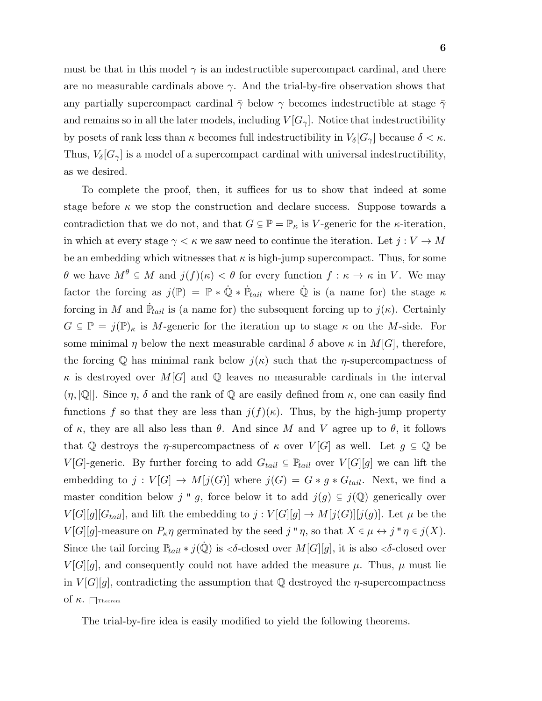must be that in this model  $\gamma$  is an indestructible supercompact cardinal, and there are no measurable cardinals above  $\gamma$ . And the trial-by-fire observation shows that any partially supercompact cardinal  $\bar{\gamma}$  below  $\gamma$  becomes indestructible at stage  $\bar{\gamma}$ and remains so in all the later models, including  $V[G_{\gamma}]$ . Notice that indestructibility by posets of rank less than  $\kappa$  becomes full indestructibility in  $V_{\delta}[G_{\gamma}]$  because  $\delta < \kappa$ . Thus,  $V_{\delta}[G_{\gamma}]$  is a model of a supercompact cardinal with universal indestructibility, as we desired.

To complete the proof, then, it suffices for us to show that indeed at some stage before  $\kappa$  we stop the construction and declare success. Suppose towards a contradiction that we do not, and that  $G \subseteq \mathbb{P} = \mathbb{P}_{\kappa}$  is V-generic for the  $\kappa$ -iteration, in which at every stage  $\gamma < \kappa$  we saw need to continue the iteration. Let  $j: V \to M$ be an embedding which witnesses that  $\kappa$  is high-jump supercompact. Thus, for some  $\theta$  we have  $M^{\theta} \subseteq M$  and  $j(f)(\kappa) < \theta$  for every function  $f : \kappa \to \kappa$  in V. We may factor the forcing as  $j(\mathbb{P}) = \mathbb{P} * \dot{\mathbb{Q}} * \dot{\mathbb{P}}_{tail}$  where  $\dot{\mathbb{Q}}$  is (a name for) the stage  $\kappa$ forcing in M and  $\dot{P}_{tail}$  is (a name for) the subsequent forcing up to  $j(\kappa)$ . Certainly  $G \subseteq \mathbb{P} = j(\mathbb{P})_\kappa$  is M-generic for the iteration up to stage  $\kappa$  on the M-side. For some minimal  $\eta$  below the next measurable cardinal  $\delta$  above  $\kappa$  in  $M[G]$ , therefore, the forcing Q has minimal rank below  $j(\kappa)$  such that the *η*-supercompactness of  $\kappa$  is destroyed over  $M[G]$  and Q leaves no measurable cardinals in the interval  $(\eta, |\mathbb{Q}|]$ . Since  $\eta$ ,  $\delta$  and the rank of  $\mathbb Q$  are easily defined from  $\kappa$ , one can easily find functions f so that they are less than  $j(f)(\kappa)$ . Thus, by the high-jump property of  $\kappa$ , they are all also less than  $\theta$ . And since M and V agree up to  $\theta$ , it follows that Q destroys the *η*-supercompactness of  $\kappa$  over  $V[G]$  as well. Let  $g \subseteq \mathbb{Q}$  be  $V[G]$ -generic. By further forcing to add  $G_{tail} \subseteq \mathbb{P}_{tail}$  over  $V[G][g]$  we can lift the embedding to  $j: V[G] \to M[j(G)]$  where  $j(G) = G * g * G_{tail}$ . Next, we find a master condition below j " g, force below it to add  $j(g) \subseteq j(\mathbb{Q})$  generically over  $V[G][g][G_{tail}]$ , and lift the embedding to  $j: V[G][g] \to M[j(G)][j(g)]$ . Let  $\mu$  be the  $V[G][g]$ -measure on  $P_{\kappa}\eta$  germinated by the seed  $j''\eta$ , so that  $X \in \mu \leftrightarrow j''\eta \in j(X)$ . Since the tail forcing  $\mathbb{P}_{tail} * j(\dot{\mathbb{Q}})$  is < $\delta$ -closed over  $M[G][g]$ , it is also < $\delta$ -closed over  $V[G][g]$ , and consequently could not have added the measure  $\mu$ . Thus,  $\mu$  must lie in  $V[G][g]$ , contradicting the assumption that Q destroyed the  $\eta$ -supercompactness of  $\kappa$ . Theorem

The trial-by-fire idea is easily modified to yield the following theorems.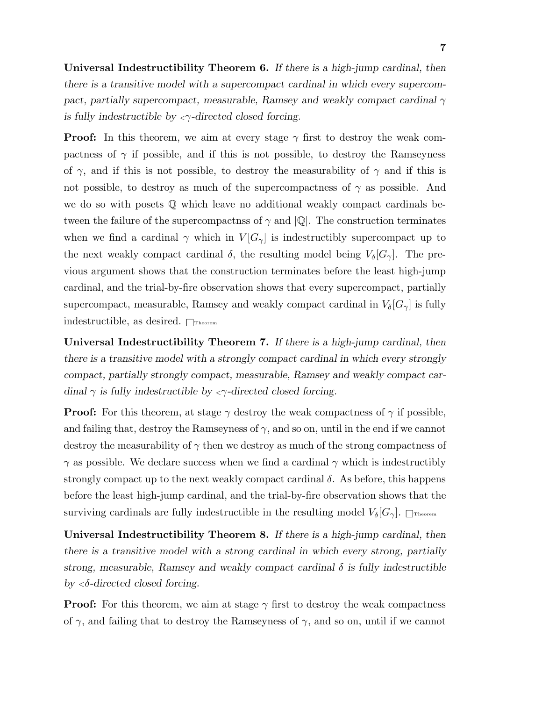Universal Indestructibility Theorem 6. If there is a high-jump cardinal, then there is a transitive model with a supercompact cardinal in which every supercompact, partially supercompact, measurable, Ramsey and weakly compact cardinal  $\gamma$ is fully indestructible by  $\langle \gamma \rangle$ -directed closed forcing.

**Proof:** In this theorem, we aim at every stage  $\gamma$  first to destroy the weak compactness of  $\gamma$  if possible, and if this is not possible, to destroy the Ramseyness of  $\gamma$ , and if this is not possible, to destroy the measurability of  $\gamma$  and if this is not possible, to destroy as much of the supercompactness of  $\gamma$  as possible. And we do so with posets Q which leave no additional weakly compact cardinals between the failure of the supercompactness of  $\gamma$  and  $|\mathbb{Q}|$ . The construction terminates when we find a cardinal  $\gamma$  which in  $V[G_{\gamma}]$  is indestructibly supercompact up to the next weakly compact cardinal  $\delta$ , the resulting model being  $V_{\delta}[G_{\gamma}]$ . The previous argument shows that the construction terminates before the least high-jump cardinal, and the trial-by-fire observation shows that every supercompact, partially supercompact, measurable, Ramsey and weakly compact cardinal in  $V_{\delta}[G_{\gamma}]$  is fully indestructible, as desired.  $\Box$ Theorem

Universal Indestructibility Theorem 7. If there is a high-jump cardinal, then there is a transitive model with a strongly compact cardinal in which every strongly compact, partially strongly compact, measurable, Ramsey and weakly compact cardinal  $\gamma$  is fully indestructible by  $\langle \gamma \rangle$ -directed closed forcing.

**Proof:** For this theorem, at stage  $\gamma$  destroy the weak compactness of  $\gamma$  if possible, and failing that, destroy the Ramseyness of  $\gamma$ , and so on, until in the end if we cannot destroy the measurability of  $\gamma$  then we destroy as much of the strong compactness of  $\gamma$  as possible. We declare success when we find a cardinal  $\gamma$  which is indestructibly strongly compact up to the next weakly compact cardinal  $\delta$ . As before, this happens before the least high-jump cardinal, and the trial-by-fire observation shows that the surviving cardinals are fully indestructible in the resulting model  $V_{\delta}[G_{\gamma}]$ .  $\Box$ Theorem

Universal Indestructibility Theorem 8. If there is a high-jump cardinal, then there is a transitive model with a strong cardinal in which every strong, partially strong, measurable, Ramsey and weakly compact cardinal  $\delta$  is fully indestructible by  $\langle \delta$ -directed closed forcing.

**Proof:** For this theorem, we aim at stage  $\gamma$  first to destroy the weak compactness of  $\gamma$ , and failing that to destroy the Ramseyness of  $\gamma$ , and so on, until if we cannot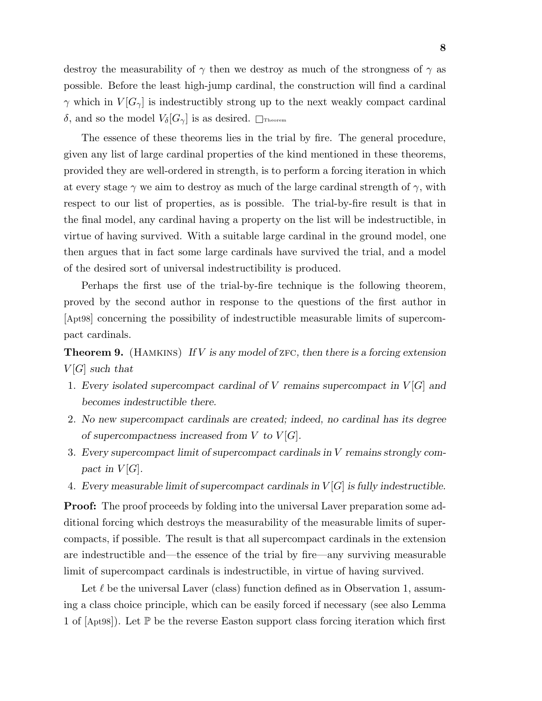destroy the measurability of  $\gamma$  then we destroy as much of the strongness of  $\gamma$  as possible. Before the least high-jump cardinal, the construction will find a cardinal  $\gamma$  which in  $V[G_{\gamma}]$  is indestructibly strong up to the next weakly compact cardinal δ, and so the model  $V_\delta[G_\gamma]$  is as desired.  $\Box$ Theorem

The essence of these theorems lies in the trial by fire. The general procedure, given any list of large cardinal properties of the kind mentioned in these theorems, provided they are well-ordered in strength, is to perform a forcing iteration in which at every stage  $\gamma$  we aim to destroy as much of the large cardinal strength of  $\gamma$ , with respect to our list of properties, as is possible. The trial-by-fire result is that in the final model, any cardinal having a property on the list will be indestructible, in virtue of having survived. With a suitable large cardinal in the ground model, one then argues that in fact some large cardinals have survived the trial, and a model of the desired sort of universal indestructibility is produced.

Perhaps the first use of the trial-by-fire technique is the following theorem, proved by the second author in response to the questions of the first author in [Apt98] concerning the possibility of indestructible measurable limits of supercompact cardinals.

**Theorem 9.** (HAMKINS) If V is any model of ZFC, then there is a forcing extension  $V[G]$  such that

- 1. Every isolated supercompact cardinal of V remains supercompact in  $V[G]$  and becomes indestructible there.
- 2. No new supercompact cardinals are created; indeed, no cardinal has its degree of supercompactness increased from  $V$  to  $V[G]$ .
- 3. Every supercompact limit of supercompact cardinals in V remains strongly compact in  $V[G]$ .
- 4. Every measurable limit of supercompact cardinals in  $V[G]$  is fully indestructible.

**Proof:** The proof proceeds by folding into the universal Laver preparation some additional forcing which destroys the measurability of the measurable limits of supercompacts, if possible. The result is that all supercompact cardinals in the extension are indestructible and—the essence of the trial by fire—any surviving measurable limit of supercompact cardinals is indestructible, in virtue of having survived.

Let  $\ell$  be the universal Laver (class) function defined as in Observation 1, assuming a class choice principle, which can be easily forced if necessary (see also Lemma 1 of  $|\text{Apt98}|$ . Let  $\mathbb P$  be the reverse Easton support class forcing iteration which first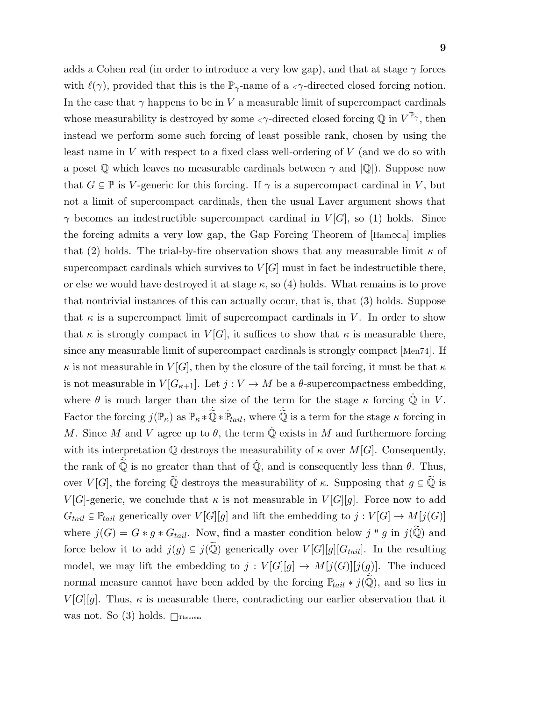9

adds a Cohen real (in order to introduce a very low gap), and that at stage  $\gamma$  forces with  $\ell(\gamma)$ , provided that this is the  $\mathbb{P}_{\gamma}$ -name of a  $\langle \gamma \rangle$ -directed closed forcing notion. In the case that  $\gamma$  happens to be in V a measurable limit of supercompact cardinals whose measurability is destroyed by some  $\langle \gamma$ -directed closed forcing  $\mathbb Q$  in  $V^{\mathbb P_\gamma},$  then instead we perform some such forcing of least possible rank, chosen by using the least name in  $V$  with respect to a fixed class well-ordering of  $V$  (and we do so with a poset  $\mathbb Q$  which leaves no measurable cardinals between  $\gamma$  and  $\mathbb Q$ ). Suppose now that  $G \subseteq \mathbb{P}$  is V-generic for this forcing. If  $\gamma$  is a supercompact cardinal in V, but not a limit of supercompact cardinals, then the usual Laver argument shows that  $\gamma$  becomes an indestructible supercompact cardinal in  $V[G]$ , so (1) holds. Since the forcing admits a very low gap, the Gap Forcing Theorem of  $[Ham\infty a]$  implies that (2) holds. The trial-by-fire observation shows that any measurable limit  $\kappa$  of supercompact cardinals which survives to  $V[G]$  must in fact be indestructible there, or else we would have destroyed it at stage  $\kappa$ , so (4) holds. What remains is to prove that nontrivial instances of this can actually occur, that is, that (3) holds. Suppose that  $\kappa$  is a supercompact limit of supercompact cardinals in V. In order to show that  $\kappa$  is strongly compact in  $V[G]$ , it suffices to show that  $\kappa$  is measurable there, since any measurable limit of supercompact cardinals is strongly compact [Men74]. If  $\kappa$  is not measurable in  $V[G]$ , then by the closure of the tail forcing, it must be that  $\kappa$ is not measurable in  $V[G_{\kappa+1}]$ . Let  $j: V \to M$  be a  $\theta$ -supercompactness embedding, where  $\theta$  is much larger than the size of the term for the stage  $\kappa$  forcing  $\dot{\mathbb{Q}}$  in V. Factor the forcing  $j(\mathbb{P}_{\kappa})$  as  $\mathbb{P}_{\kappa} * \check{\mathbb{Q}} * \dot{\mathbb{P}}_{tail}$ , where  $\check{\mathbb{Q}}$  is a term for the stage  $\kappa$  forcing in M. Since M and V agree up to  $\theta$ , the term  $\dot{\mathbb{Q}}$  exists in M and furthermore forcing with its interpretation  $\mathbb Q$  destroys the measurability of  $\kappa$  over  $M[G]$ . Consequently, the rank of  $\dot{\tilde{Q}}$  is no greater than that of  $\dot{Q}$ , and is consequently less than  $\theta$ . Thus, over  $V[G]$ , the forcing  $\widetilde{\mathbb{Q}}$  destroys the measurability of  $\kappa$ . Supposing that  $g \subseteq \widetilde{\mathbb{Q}}$  is  $V[G]$ -generic, we conclude that  $\kappa$  is not measurable in  $V[G][g]$ . Force now to add  $G_{tail} \subseteq \mathbb{P}_{tail}$  generically over  $V[G][g]$  and lift the embedding to  $j: V[G] \to M[j(G)]$ where  $j(G) = G * g * G_{tail}$ . Now, find a master condition below j " g in  $j(\tilde{\mathbb{Q}})$  and force below it to add  $j(g) \subseteq j(\tilde{\mathbb{Q}})$  generically over  $V[G][g][G_{tail}]$ . In the resulting model, we may lift the embedding to  $j: V[G][g] \to M[j(G)][j(g)]$ . The induced normal measure cannot have been added by the forcing  $\mathbb{P}_{tail} * j(\tilde{\mathbb{Q}})$ , and so lies in  $V[G][g]$ . Thus,  $\kappa$  is measurable there, contradicting our earlier observation that it was not. So (3) holds.  $\Box$ Theorem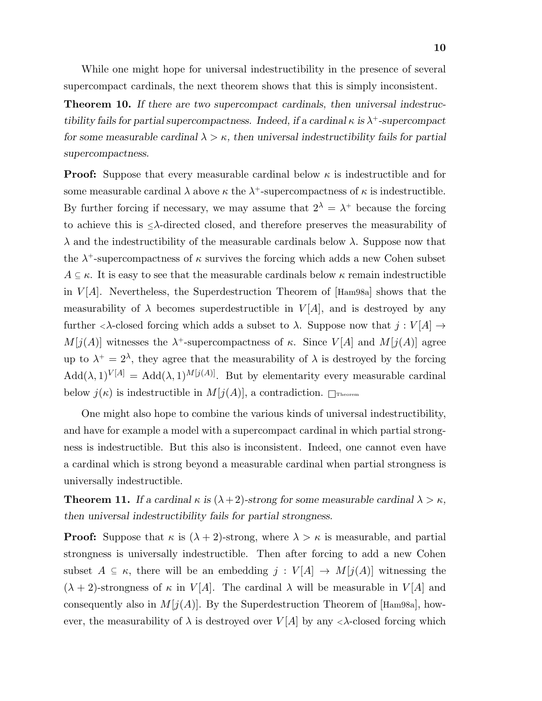While one might hope for universal indestructibility in the presence of several supercompact cardinals, the next theorem shows that this is simply inconsistent.

Theorem 10. If there are two supercompact cardinals, then universal indestructibility fails for partial supercompactness. Indeed, if a cardinal  $\kappa$  is  $\lambda^+$ -supercompact for some measurable cardinal  $\lambda > \kappa$ , then universal indestructibility fails for partial supercompactness.

**Proof:** Suppose that every measurable cardinal below  $\kappa$  is indestructible and for some measurable cardinal  $\lambda$  above  $\kappa$  the  $\lambda^+$ -supercompactness of  $\kappa$  is indestructible. By further forcing if necessary, we may assume that  $2^{\lambda} = \lambda^+$  because the forcing to achieve this is  $\leq \lambda$ -directed closed, and therefore preserves the measurability of  $\lambda$  and the indestructibility of the measurable cardinals below  $\lambda$ . Suppose now that the  $\lambda^+$ -supercompactness of  $\kappa$  survives the forcing which adds a new Cohen subset  $A \subseteq \kappa$ . It is easy to see that the measurable cardinals below  $\kappa$  remain indestructible in  $V[A]$ . Nevertheless, the Superdestruction Theorem of [Ham98a] shows that the measurability of  $\lambda$  becomes superdestructible in  $V[A]$ , and is destroyed by any further  $\langle \lambda$ -closed forcing which adds a subset to  $\lambda$ . Suppose now that  $j: V[A] \rightarrow$  $M[j(A)]$  witnesses the  $\lambda^+$ -supercompactness of  $\kappa$ . Since  $V[A]$  and  $M[j(A)]$  agree up to  $\lambda^+ = 2^{\lambda}$ , they agree that the measurability of  $\lambda$  is destroyed by the forcing  $Add(\lambda, 1)^{V[A]} = Add(\lambda, 1)^{M[j(A)]}$ . But by elementarity every measurable cardinal below  $j(\kappa)$  is indestructible in  $M[j(A)]$ , a contradiction.  $\Box$ Theorem

One might also hope to combine the various kinds of universal indestructibility, and have for example a model with a supercompact cardinal in which partial strongness is indestructible. But this also is inconsistent. Indeed, one cannot even have a cardinal which is strong beyond a measurable cardinal when partial strongness is universally indestructible.

**Theorem 11.** If a cardinal  $\kappa$  is  $(\lambda + 2)$ -strong for some measurable cardinal  $\lambda > \kappa$ , then universal indestructibility fails for partial strongness.

**Proof:** Suppose that  $\kappa$  is  $(\lambda + 2)$ -strong, where  $\lambda > \kappa$  is measurable, and partial strongness is universally indestructible. Then after forcing to add a new Cohen subset  $A \subseteq \kappa$ , there will be an embedding  $j : V[A] \to M[j(A)]$  witnessing the  $(\lambda + 2)$ -strongness of  $\kappa$  in  $V[A]$ . The cardinal  $\lambda$  will be measurable in  $V[A]$  and consequently also in  $M[j(A)]$ . By the Superdestruction Theorem of [Ham98a], however, the measurability of  $\lambda$  is destroyed over  $V[A]$  by any  $\langle \lambda$ -closed forcing which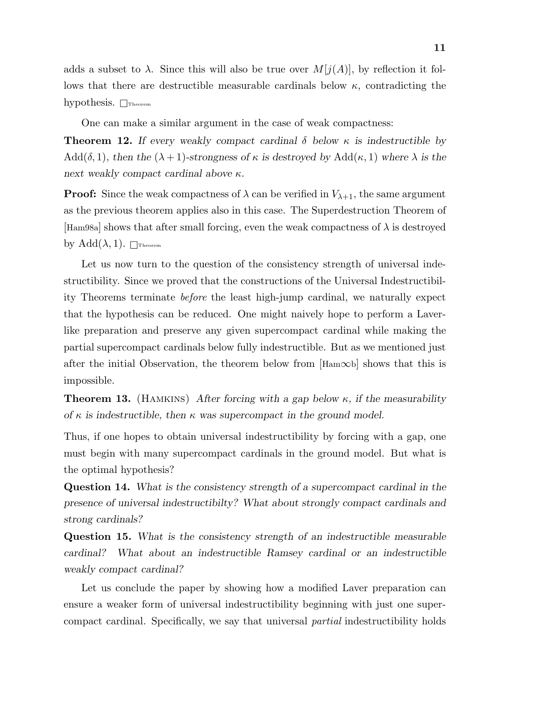adds a subset to  $\lambda$ . Since this will also be true over  $M[j(A)]$ , by reflection it follows that there are destructible measurable cardinals below  $\kappa$ , contradicting the hypothesis.  $\Box$ Theorem

One can make a similar argument in the case of weak compactness:

**Theorem 12.** If every weakly compact cardinal  $\delta$  below  $\kappa$  is indestructible by Add( $\delta$ , 1), then the  $(\lambda + 1)$ -strongness of  $\kappa$  is destroyed by Add( $\kappa$ , 1) where  $\lambda$  is the next weakly compact cardinal above  $\kappa$ .

**Proof:** Since the weak compactness of  $\lambda$  can be verified in  $V_{\lambda+1}$ , the same argument as the previous theorem applies also in this case. The Superdestruction Theorem of  $\text{[Ham98a]}$  shows that after small forcing, even the weak compactness of  $\lambda$  is destroyed by  $Add(\lambda, 1)$ .  $\Box$ Theorem

Let us now turn to the question of the consistency strength of universal indestructibility. Since we proved that the constructions of the Universal Indestructibility Theorems terminate before the least high-jump cardinal, we naturally expect that the hypothesis can be reduced. One might naively hope to perform a Laverlike preparation and preserve any given supercompact cardinal while making the partial supercompact cardinals below fully indestructible. But as we mentioned just after the initial Observation, the theorem below from  $[Ham\infty b]$  shows that this is impossible.

**Theorem 13.** (HAMKINS) After forcing with a gap below  $\kappa$ , if the measurability of  $\kappa$  is indestructible, then  $\kappa$  was supercompact in the ground model.

Thus, if one hopes to obtain universal indestructibility by forcing with a gap, one must begin with many supercompact cardinals in the ground model. But what is the optimal hypothesis?

Question 14. What is the consistency strength of a supercompact cardinal in the presence of universal indestructibilty? What about strongly compact cardinals and strong cardinals?

Question 15. What is the consistency strength of an indestructible measurable cardinal? What about an indestructible Ramsey cardinal or an indestructible weakly compact cardinal?

Let us conclude the paper by showing how a modified Laver preparation can ensure a weaker form of universal indestructibility beginning with just one supercompact cardinal. Specifically, we say that universal partial indestructibility holds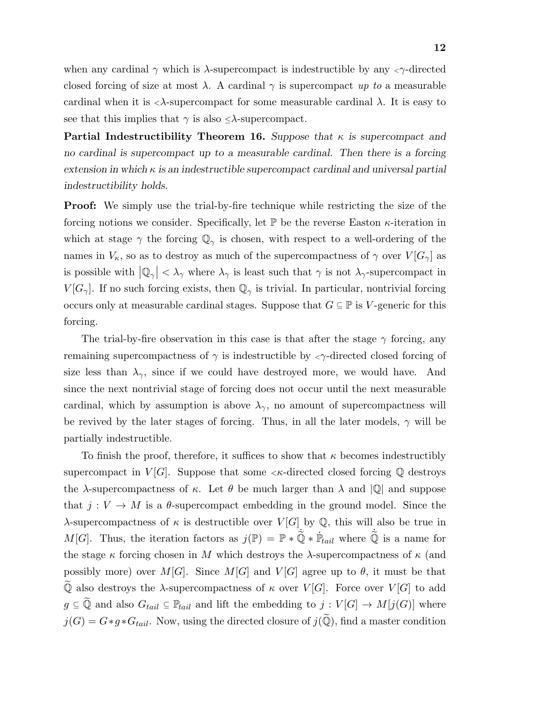when any cardinal  $\gamma$  which is  $\lambda$ -supercompact is indestructible by any  $\langle \gamma \rangle$ -directed closed forcing of size at most  $\lambda$ . A cardinal  $\gamma$  is supercompact up to a measurable cardinal when it is  $\langle \lambda$ -supercompact for some measurable cardinal  $\lambda$ . It is easy to see that this implies that  $\gamma$  is also  $\leq \lambda$ -supercompact.

**Partial Indestructibility Theorem 16.** Suppose that  $\kappa$  is supercompact and no cardinal is supercompact up to a measurable cardinal. Then there is a forcing extension in which  $\kappa$  is an indestructible supercompact cardinal and universal partial indestructibility holds.

Proof: We simply use the trial-by-fire technique while restricting the size of the forcing notions we consider. Specifically, let  $\mathbb P$  be the reverse Easton  $\kappa$ -iteration in which at stage  $\gamma$  the forcing  $\mathbb{Q}_{\gamma}$  is chosen, with respect to a well-ordering of the names in  $V_{\kappa}$ , so as to destroy as much of the supercompactness of  $\gamma$  over  $V[G_{\gamma}]$  as is possible with  $|Q_{\gamma}| < \lambda_{\gamma}$  where  $\lambda_{\gamma}$  is least such that  $\gamma$  is not  $\lambda_{\gamma}$ -supercompact in  $V[G_\gamma]$ . If no such forcing exists, then  $\mathbb{Q}_\gamma$  is trivial. In particular, nontrivial forcing occurs only at measurable cardinal stages. Suppose that  $G \subseteq \mathbb{P}$  is V-generic for this forcing.

The trial-by-fire observation in this case is that after the stage  $\gamma$  forcing, any remaining supercompactness of  $\gamma$  is indestructible by  $\langle \gamma \rangle$ -directed closed forcing of size less than  $\lambda_{\gamma}$ , since if we could have destroyed more, we would have. And since the next nontrivial stage of forcing does not occur until the next measurable cardinal, which by assumption is above  $\lambda_{\gamma}$ , no amount of supercompactness will be revived by the later stages of forcing. Thus, in all the later models,  $\gamma$  will be partially indestructible.

To finish the proof, therefore, it suffices to show that  $\kappa$  becomes indestructibly supercompact in  $V[G]$ . Suppose that some  $\lt k$ -directed closed forcing Q destroys the  $\lambda$ -supercompactness of  $\kappa$ . Let  $\theta$  be much larger than  $\lambda$  and  $|\mathbb{Q}|$  and suppose that  $j: V \to M$  is a  $\theta$ -supercompact embedding in the ground model. Since the λ-supercompactness of κ is destructible over  $V[G]$  by  $\mathbb Q$ , this will also be true in M[G]. Thus, the iteration factors as  $j(\mathbb{P}) = \mathbb{P} * \hat{\mathbb{Q}} * \hat{\mathbb{P}}_{tail}$  where  $\hat{\mathbb{Q}}$  is a name for the stage  $\kappa$  forcing chosen in M which destroys the  $\lambda$ -supercompactness of  $\kappa$  (and possibly more) over  $M[G]$ . Since  $M[G]$  and  $V[G]$  agree up to  $\theta$ , it must be that  $\widetilde{\mathbb{Q}}$  also destroys the  $\lambda$ -supercompactness of  $\kappa$  over  $V[G]$ . Force over  $V[G]$  to add  $g \subseteq \tilde{Q}$  and also  $G_{tail} \subseteq \mathbb{P}_{tail}$  and lift the embedding to  $j : V[G] \to M[j(G)]$  where  $j(G) = G * g * G_{tail}$ . Now, using the directed closure of  $j(\widetilde{Q})$ , find a master condition